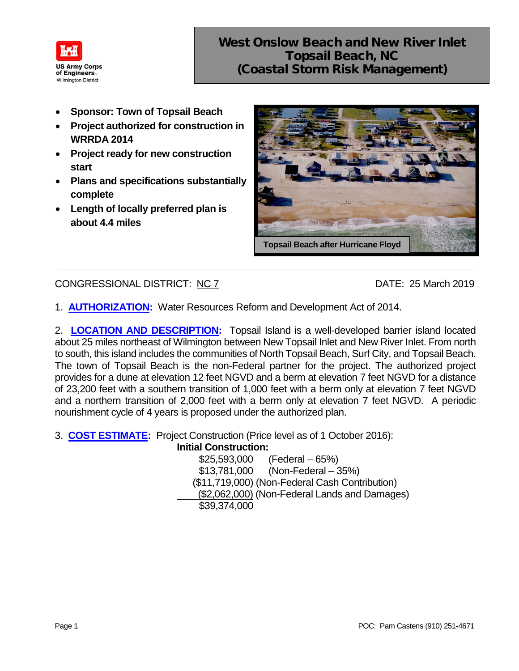

- **Sponsor: Town of Topsail Beach**
- **Project authorized for construction in WRRDA 2014**
- **Project ready for new construction start**
- **Plans and specifications substantially complete**
- **Length of locally preferred plan is about 4.4 miles**



## CONGRESSIONAL DISTRICT: NC 7 DATE: 25 March 2019

1. **AUTHORIZATION:** Water Resources Reform and Development Act of 2014.

2. **LOCATION AND DESCRIPTION:** Topsail Island is a well-developed barrier island located about 25 miles northeast of Wilmington between New Topsail Inlet and New River Inlet. From north to south, this island includes the communities of North Topsail Beach, Surf City, and Topsail Beach. The town of Topsail Beach is the non-Federal partner for the project. The authorized project provides for a dune at elevation 12 feet NGVD and a berm at elevation 7 feet NGVD for a distance of 23,200 feet with a southern transition of 1,000 feet with a berm only at elevation 7 feet NGVD and a northern transition of 2,000 feet with a berm only at elevation 7 feet NGVD. A periodic nourishment cycle of 4 years is proposed under the authorized plan.

3. **COST ESTIMATE:** Project Construction (Price level as of 1 October 2016):

**Initial Construction:** \$25,593,000 (Federal – 65%) \$13,781,000 (Non-Federal – 35%)

(\$11,719,000) (Non-Federal Cash Contribution)

(\$2,062,000) (Non-Federal Lands and Damages)

\$39,374,000